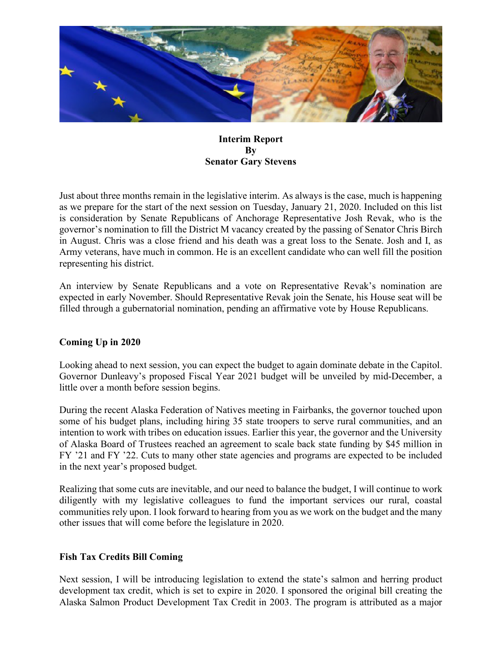

#### **Interim Report By Senator Gary Stevens**

Just about three months remain in the legislative interim. As always is the case, much is happening as we prepare for the start of the next session on Tuesday, January 21, 2020. Included on this list is consideration by Senate Republicans of Anchorage Representative Josh Revak, who is the governor's nomination to fill the District M vacancy created by the passing of Senator Chris Birch in August. Chris was a close friend and his death was a great loss to the Senate. Josh and I, as Army veterans, have much in common. He is an excellent candidate who can well fill the position representing his district.

An interview by Senate Republicans and a vote on Representative Revak's nomination are expected in early November. Should Representative Revak join the Senate, his House seat will be filled through a gubernatorial nomination, pending an affirmative vote by House Republicans.

# **Coming Up in 2020**

Looking ahead to next session, you can expect the budget to again dominate debate in the Capitol. Governor Dunleavy's proposed Fiscal Year 2021 budget will be unveiled by mid-December, a little over a month before session begins.

During the recent Alaska Federation of Natives meeting in Fairbanks, the governor touched upon some of his budget plans, including hiring 35 state troopers to serve rural communities, and an intention to work with tribes on education issues. Earlier this year, the governor and the University of Alaska Board of Trustees reached an agreement to scale back state funding by \$45 million in FY '21 and FY '22. Cuts to many other state agencies and programs are expected to be included in the next year's proposed budget.

Realizing that some cuts are inevitable, and our need to balance the budget, I will continue to work diligently with my legislative colleagues to fund the important services our rural, coastal communities rely upon. I look forward to hearing from you as we work on the budget and the many other issues that will come before the legislature in 2020.

# **Fish Tax Credits Bill Coming**

Next session, I will be introducing legislation to extend the state's salmon and herring product development tax credit, which is set to expire in 2020. I sponsored the original bill creating the Alaska Salmon Product Development Tax Credit in 2003. The program is attributed as a major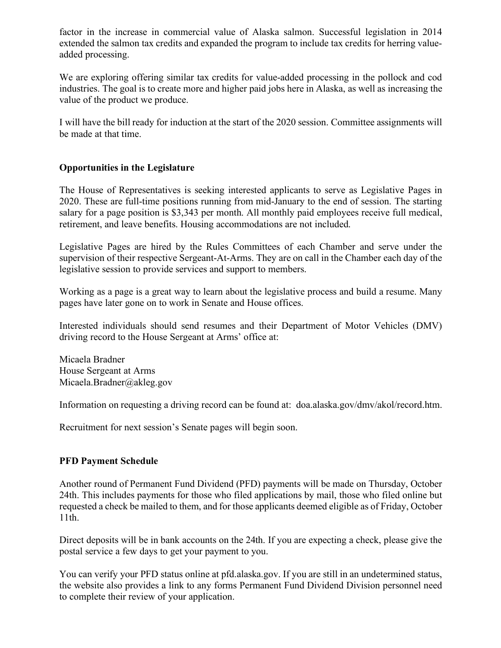factor in the increase in commercial value of Alaska salmon. Successful legislation in 2014 extended the salmon tax credits and expanded the program to include tax credits for herring valueadded processing.

We are exploring offering similar tax credits for value-added processing in the pollock and cod industries. The goal is to create more and higher paid jobs here in Alaska, as well as increasing the value of the product we produce.

I will have the bill ready for induction at the start of the 2020 session. Committee assignments will be made at that time.

# **Opportunities in the Legislature**

The House of Representatives is seeking interested applicants to serve as Legislative Pages in 2020. These are full-time positions running from mid-January to the end of session. The starting salary for a page position is \$3,343 per month. All monthly paid employees receive full medical, retirement, and leave benefits. Housing accommodations are not included.

Legislative Pages are hired by the Rules Committees of each Chamber and serve under the supervision of their respective Sergeant-At-Arms. They are on call in the Chamber each day of the legislative session to provide services and support to members.

Working as a page is a great way to learn about the legislative process and build a resume. Many pages have later gone on to work in Senate and House offices.

Interested individuals should send resumes and their Department of Motor Vehicles (DMV) driving record to the House Sergeant at Arms' office at:

Micaela Bradner House Sergeant at Arms Micaela.Bradner@akleg.gov

Information on requesting a driving record can be found at: doa.alaska.gov/dmv/akol/record.htm.

Recruitment for next session's Senate pages will begin soon.

# **PFD Payment Schedule**

Another round of Permanent Fund Dividend (PFD) payments will be made on Thursday, October 24th. This includes payments for those who filed applications by mail, those who filed online but requested a check be mailed to them, and for those applicants deemed eligible as of Friday, October 11th.

Direct deposits will be in bank accounts on the 24th. If you are expecting a check, please give the postal service a few days to get your payment to you.

You can verify your PFD status online at pfd.alaska.gov. If you are still in an undetermined status, the website also provides a link to any forms Permanent Fund Dividend Division personnel need to complete their review of your application.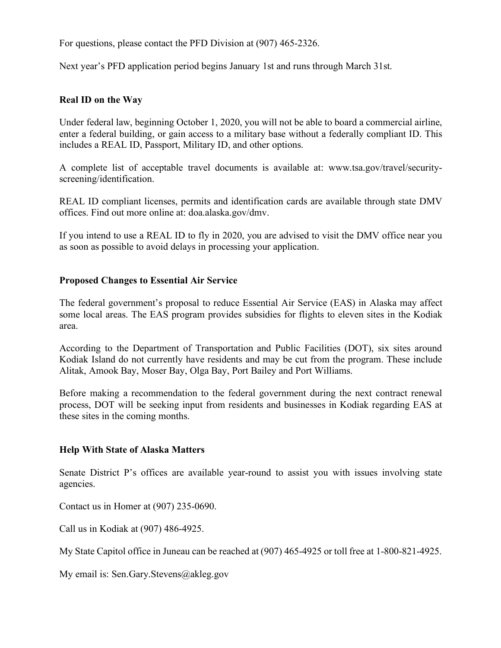For questions, please contact the PFD Division at (907) 465-2326.

Next year's PFD application period begins January 1st and runs through March 31st.

#### **Real ID on the Way**

Under federal law, beginning October 1, 2020, you will not be able to board a commercial airline, enter a federal building, or gain access to a military base without a federally compliant ID. This includes a REAL ID, Passport, Military ID, and other options.

A complete list of acceptable travel documents is available at: www.tsa.gov/travel/securityscreening/identification.

REAL ID compliant licenses, permits and identification cards are available through state DMV offices. Find out more online at: doa.alaska.gov/dmv.

If you intend to use a REAL ID to fly in 2020, you are advised to visit the DMV office near you as soon as possible to avoid delays in processing your application.

#### **Proposed Changes to Essential Air Service**

The federal government's proposal to reduce Essential Air Service (EAS) in Alaska may affect some local areas. The EAS program provides subsidies for flights to eleven sites in the Kodiak area.

According to the Department of Transportation and Public Facilities (DOT), six sites around Kodiak Island do not currently have residents and may be cut from the program. These include Alitak, Amook Bay, Moser Bay, Olga Bay, Port Bailey and Port Williams.

Before making a recommendation to the federal government during the next contract renewal process, DOT will be seeking input from residents and businesses in Kodiak regarding EAS at these sites in the coming months.

#### **Help With State of Alaska Matters**

Senate District P's offices are available year-round to assist you with issues involving state agencies.

Contact us in Homer at (907) 235-0690.

Call us in Kodiak at (907) 486-4925.

My State Capitol office in Juneau can be reached at (907) 465-4925 or toll free at 1-800-821-4925.

My email is: Sen.Gary.Stevens@akleg.gov